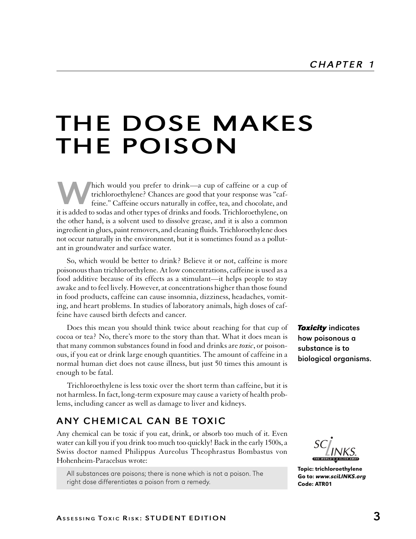# THE DOSE MAKES THE POISON

hich would you prefer to drink—a cup of caffeine or a cup of trichloroethylene? Chances are good that your response was "caffeine." Caffeine occurs naturally in coffee, tea, and chocolate, and it is added to sodas and othe hich would you prefer to drink—a cup of caffeine or a cup of trichloroethylene? Chances are good that your response was "caffeine." Caffeine occurs naturally in coffee, tea, and chocolate, and the other hand, is a solvent used to dissolve grease, and it is also a common ingredient in glues, paint removers, and cleaning fluids. Trichloroethylene does not occur naturally in the environment, but it is sometimes found as a pollutant in groundwater and surface water.

So, which would be better to drink? Believe it or not, caffeine is more poisonous than trichloroethylene. At low concentrations, caffeine is used as a food additive because of its effects as a stimulant—it helps people to stay awake and to feel lively. However, at concentrations higher than those found in food products, caffeine can cause insomnia, dizziness, headaches, vomiting, and heart problems. In studies of laboratory animals, high doses of caffeine have caused birth defects and cancer.

Does this mean you should think twice about reaching for that cup of cocoa or tea? No, there's more to the story than that. What it does mean is that many common substances found in food and drinks are *toxic*, or poisonous, if you eat or drink large enough quantities. The amount of caffeine in a normal human diet does not cause illness, but just 50 times this amount is enough to be fatal.

Trichloroethylene is less toxic over the short term than caffeine, but it is not harmless. In fact, long-term exposure may cause a variety of health problems, including cancer as well as damage to liver and kidneys.

# ANY CHEMICAL CAN BE TOXIC

Any chemical can be toxic if you eat, drink, or absorb too much of it. Even water can kill you if you drink too much too quickly! Back in the early 1500s, a Swiss doctor named Philippus Aureolus Theophrastus Bombastus von Hohenheim-Paracelsus wrote:

All substances are poisons; there is none which is not a poison. The right dose differentiates a poison from a remedy.

**Toxicity** indicates how poisonous a substance is to biological organisms.

Topic: trichloroethylene Go to: www.sciLINKS.org Code: ATR01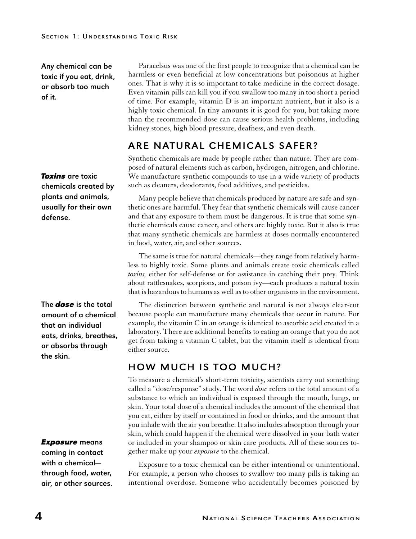Any chemical can be toxic if you eat, drink, or absorb too much of it.

**Toxins** are toxic chemicals created by plants and animals, usually for their own defense.

The **dose** is the total amount of a chemical that an individual eats, drinks, breathes, or absorbs through the skin.

## **Exposure** means coming in contact with a chemical through food, water, air, or other sources.

Paracelsus was one of the first people to recognize that a chemical can be harmless or even beneficial at low concentrations but poisonous at higher ones. That is why it is so important to take medicine in the correct dosage. Even vitamin pills can kill you if you swallow too many in too short a period of time. For example, vitamin D is an important nutrient, but it also is a highly toxic chemical. In tiny amounts it is good for you, but taking more than the recommended dose can cause serious health problems, including kidney stones, high blood pressure, deafness, and even death.

## ARE NATURAL CHEMICALS SAFER?

Synthetic chemicals are made by people rather than nature. They are composed of natural elements such as carbon, hydrogen, nitrogen, and chlorine. We manufacture synthetic compounds to use in a wide variety of products such as cleaners, deodorants, food additives, and pesticides.

Many people believe that chemicals produced by nature are safe and synthetic ones are harmful. They fear that synthetic chemicals will cause cancer and that any exposure to them must be dangerous. It is true that some synthetic chemicals cause cancer, and others are highly toxic. But it also is true that many synthetic chemicals are harmless at doses normally encountered in food, water, air, and other sources.

The same is true for natural chemicals—they range from relatively harmless to highly toxic. Some plants and animals create toxic chemicals called *toxins,* either for self-defense or for assistance in catching their prey. Think about rattlesnakes, scorpions, and poison ivy—each produces a natural toxin that is hazardous to humans as well as to other organisms in the environment.

The distinction between synthetic and natural is not always clear-cut because people can manufacture many chemicals that occur in nature. For example, the vitamin C in an orange is identical to ascorbic acid created in a laboratory. There are additional benefits to eating an orange that you do not get from taking a vitamin C tablet, but the vitamin itself is identical from either source.

## HOW MUCH IS TOO MUCH?

To measure a chemical's short-term toxicity, scientists carry out something called a "dose/response" study. The word *dose* refers to the total amount of a substance to which an individual is exposed through the mouth, lungs, or skin. Your total dose of a chemical includes the amount of the chemical that you eat, either by itself or contained in food or drinks, and the amount that you inhale with the air you breathe. It also includes absorption through your skin, which could happen if the chemical were dissolved in your bath water or included in your shampoo or skin care products. All of these sources together make up your *exposure* to the chemical.

Exposure to a toxic chemical can be either intentional or unintentional. For example, a person who chooses to swallow too many pills is taking an intentional overdose. Someone who accidentally becomes poisoned by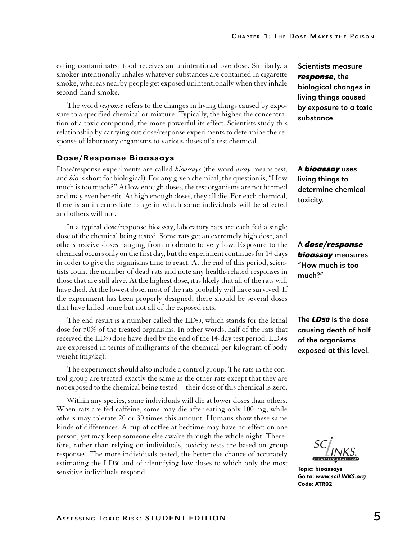eating contaminated food receives an unintentional overdose. Similarly, a smoker intentionally inhales whatever substances are contained in cigarette smoke, whereas nearby people get exposed unintentionally when they inhale second-hand smoke.

The word *response* refers to the changes in living things caused by exposure to a specified chemical or mixture. Typically, the higher the concentration of a toxic compound, the more powerful its effect. Scientists study this relationship by carrying out dose/response experiments to determine the response of laboratory organisms to various doses of a test chemical.

#### Dose/Response Bioassays

Dose/response experiments are called *bioassays* (the word *assay* means test, and *bio* is short for biological). For any given chemical, the question is, "How much is too much?" At low enough doses, the test organisms are not harmed and may even benefit. At high enough doses, they all die. For each chemical, there is an intermediate range in which some individuals will be affected and others will not.

In a typical dose/response bioassay, laboratory rats are each fed a single dose of the chemical being tested. Some rats get an extremely high dose, and others receive doses ranging from moderate to very low. Exposure to the chemical occurs only on the first day, but the experiment continues for 14 days in order to give the organisms time to react. At the end of this period, scientists count the number of dead rats and note any health-related responses in those that are still alive. At the highest dose, it is likely that all of the rats will have died. At the lowest dose, most of the rats probably will have survived. If the experiment has been properly designed, there should be several doses that have killed some but not all of the exposed rats.

The end result is a number called the LD50, which stands for the lethal dose for 50% of the treated organisms. In other words, half of the rats that received the LD50 dose have died by the end of the 14-day test period. LD50s are expressed in terms of milligrams of the chemical per kilogram of body weight (mg/kg).

The experiment should also include a control group. The rats in the control group are treated exactly the same as the other rats except that they are not exposed to the chemical being tested—their dose of this chemical is zero.

Within any species, some individuals will die at lower doses than others. When rats are fed caffeine, some may die after eating only 100 mg, while others may tolerate 20 or 30 times this amount. Humans show these same kinds of differences. A cup of coffee at bedtime may have no effect on one person, yet may keep someone else awake through the whole night. Therefore, rather than relying on individuals, toxicity tests are based on group responses. The more individuals tested, the better the chance of accurately estimating the LD50 and of identifying low doses to which only the most sensitive individuals respond.

Scientists measure **response**, the biological changes in living things caused by exposure to a toxic substance.

A **bioassay** uses living things to determine chemical toxicity.

A **dose/response bioassay** measures "How much is too much?"

The **LD50** is the dose causing death of half of the organisms exposed at this level.

Topic: bioassays Go to: www.sciLINKS.org Code: ATR02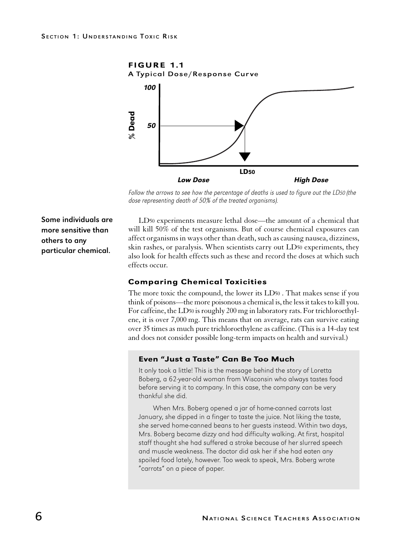

FIGURE 1.1

Follow the arrows to see how the percentage of deaths is used to figure out the LD50 (the dose representing death of 50% of the treated organisms).

Some individuals are more sensitive than others to any particular chemical.

LD50 experiments measure lethal dose—the amount of a chemical that will kill 50% of the test organisms. But of course chemical exposures can affect organisms in ways other than death, such as causing nausea, dizziness, skin rashes, or paralysis. When scientists carry out LD50 experiments, they also look for health effects such as these and record the doses at which such effects occur.

#### Comparing Chemical Toxicities

The more toxic the compound, the lower its LD50 . That makes sense if you think of poisons—the more poisonous a chemical is, the less it takes to kill you. For caffeine, the LD50 is roughly 200 mg in laboratory rats. For trichloroethylene, it is over 7,000 mg. This means that on average, rats can survive eating over 35 times as much pure trichloroethylene as caffeine. (This is a 14-day test and does not consider possible long-term impacts on health and survival.)

#### Even "Just a Taste" Can Be Too Much

It only took a little! This is the message behind the story of Loretta Boberg, a 62-year-old woman from Wisconsin who always tastes food before serving it to company. In this case, the company can be very thankful she did.

When Mrs. Boberg opened a jar of home-canned carrots last January, she dipped in a finger to taste the juice. Not liking the taste, she served home-canned beans to her guests instead. Within two days, Mrs. Boberg became dizzy and had difficulty walking. At first, hospital staff thought she had suffered a stroke because of her slurred speech and muscle weakness. The doctor did ask her if she had eaten any spoiled food lately, however. Too weak to speak, Mrs. Boberg wrote "carrots" on a piece of paper.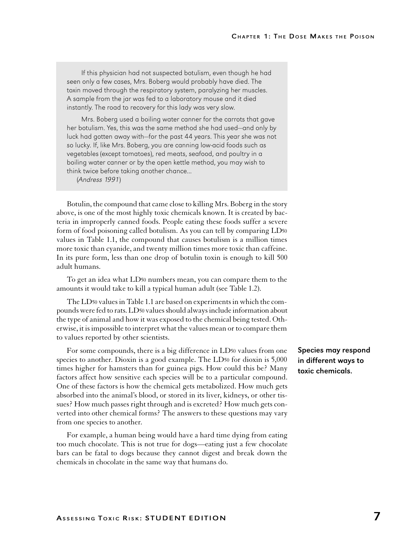If this physician had not suspected botulism, even though he had seen only a few cases, Mrs. Boberg would probably have died. The toxin moved through the respiratory system, paralyzing her muscles. A sample from the jar was fed to a laboratory mouse and it died instantly. The road to recovery for this lady was very slow.

Mrs. Boberg used a boiling water canner for the carrots that gave her botulism. Yes, this was the same method she had used—and only by luck had gotten away with—for the past 44 years. This year she was not so lucky. If, like Mrs. Boberg, you are canning low-acid foods such as vegetables (except tomatoes), red meats, seafood, and poultry in a boiling water canner or by the open kettle method, you may wish to think twice before taking another chance...

(Andress 1991)

Botulin, the compound that came close to killing Mrs. Boberg in the story above, is one of the most highly toxic chemicals known. It is created by bacteria in improperly canned foods. People eating these foods suffer a severe form of food poisoning called botulism. As you can tell by comparing LD50 values in Table 1.1, the compound that causes botulism is a million times more toxic than cyanide, and twenty million times more toxic than caffeine. In its pure form, less than one drop of botulin toxin is enough to kill 500 adult humans.

To get an idea what LD50 numbers mean, you can compare them to the amounts it would take to kill a typical human adult (see Table 1.2).

The LD50 values in Table 1.1 are based on experiments in which the compounds were fed to rats. LD50 values should always include information about the type of animal and how it was exposed to the chemical being tested. Otherwise, it is impossible to interpret what the values mean or to compare them to values reported by other scientists.

For some compounds, there is a big difference in LD50 values from one species to another. Dioxin is a good example. The LD50 for dioxin is 5,000 times higher for hamsters than for guinea pigs. How could this be? Many factors affect how sensitive each species will be to a particular compound. One of these factors is how the chemical gets metabolized. How much gets absorbed into the animal's blood, or stored in its liver, kidneys, or other tissues? How much passes right through and is excreted? How much gets converted into other chemical forms? The answers to these questions may vary from one species to another.

For example, a human being would have a hard time dying from eating too much chocolate. This is not true for dogs—eating just a few chocolate bars can be fatal to dogs because they cannot digest and break down the chemicals in chocolate in the same way that humans do.

Species may respond in different ways to toxic chemicals.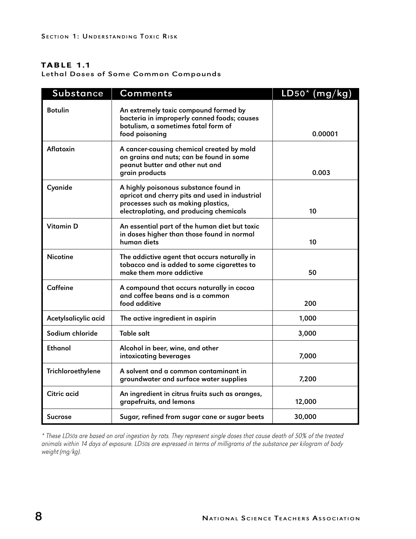## TABLE 1.1

#### Lethal Doses of Some Common Compounds

| <b>Substance</b>     | <b>Comments</b>                                                                                                                                                          | $LD50* (mg/kg)$ |
|----------------------|--------------------------------------------------------------------------------------------------------------------------------------------------------------------------|-----------------|
| <b>Botulin</b>       | An extremely toxic compound formed by<br>bacteria in improperly canned foods; causes<br>botulism, a sometimes fatal form of<br>food poisoning                            | 0.00001         |
| <b>Aflatoxin</b>     | A cancer-causing chemical created by mold<br>on grains and nuts; can be found in some<br>peanut butter and other nut and<br>grain products                               | 0.003           |
| Cyanide              | A highly poisonous substance found in<br>apricot and cherry pits and used in industrial<br>processes such as making plastics,<br>electroplating, and producing chemicals | 10              |
| <b>Vitamin D</b>     | An essential part of the human diet but toxic<br>in doses higher than those found in normal<br>human diets                                                               | 10              |
| <b>Nicotine</b>      | The addictive agent that occurs naturally in<br>tobacco and is added to some cigarettes to<br>make them more addictive                                                   | 50              |
| <b>Caffeine</b>      | A compound that occurs naturally in cocoa<br>and coffee beans and is a common<br>food additive                                                                           | 200             |
| Acetylsalicylic acid | The active ingredient in aspirin                                                                                                                                         | 1,000           |
| Sodium chloride      | <b>Table salt</b>                                                                                                                                                        | 3,000           |
| <b>Ethanol</b>       | Alcohol in beer, wine, and other<br>intoxicating beverages                                                                                                               | 7,000           |
| Trichloroethylene    | A solvent and a common contaminant in<br>groundwater and surface water supplies                                                                                          | 7,200           |
| Citric acid          | An ingredient in citrus fruits such as oranges,<br>grapefruits, and lemons                                                                                               | 12,000          |
| <b>Sucrose</b>       | Sugar, refined from sugar cane or sugar beets                                                                                                                            | 30,000          |

\* These LD50s are based on oral ingestion by rats. They represent single doses that cause death of 50% of the treated animals within 14 days of exposure. LD50s are expressed in terms of milligrams of the substance per kilogram of body weight (mg/kg).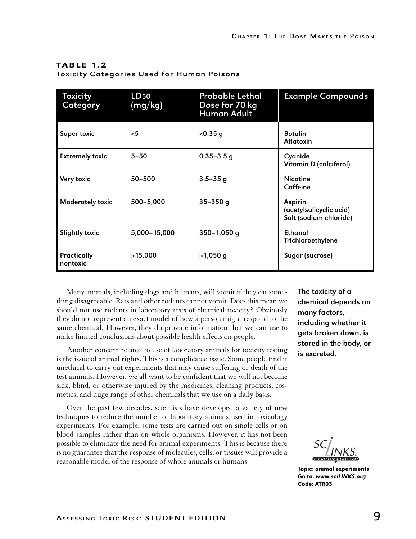| <b>Toxicity</b><br>Category | <b>LD50</b><br>(mg/kg) | <b>Probable Lethal</b><br>Dose for 70 kg<br>Human Adult | <b>Example Compounds</b>                                     |
|-----------------------------|------------------------|---------------------------------------------------------|--------------------------------------------------------------|
| Super toxic                 | $<$ 5                  | $<$ 0.35 g                                              | <b>Botulin</b><br><b>Aflatoxin</b>                           |
| <b>Extremely toxic</b>      | $5 - 50$               | $0.35 - 3.5$ g                                          | Cyanide<br><b>Vitamin D (calciferol)</b>                     |
| Very toxic                  | $50 - 500$             | $3.5 - 35$ g                                            | <b>Nicotine</b><br>Caffeine                                  |
| <b>Moderately toxic</b>     | $500 - 5,000$          | $35 - 350$ g                                            | Aspirin<br>(acetylsalicyclic acid)<br>Salt (sodium chloride) |
| <b>Slightly toxic</b>       | 5,000-15,000           | $350 - 1,050$ g                                         | Ethanol<br>Trichloroethylene                                 |
| Practically<br>nontoxic     | >15,000                | $>1,050$ g                                              | Sugar (sucrose)                                              |

#### TABLE 1.2

Toxicity Categories Used for Human Poisons

Many animals, including dogs and humans, will vomit if they eat something disagreeable. Rats and other rodents cannot vomit. Does this mean we should not use rodents in laboratory tests of chemical toxicity? Obviously they do not represent an exact model of how a person might respond to the same chemical. However, they do provide information that we can use to make limited conclusions about possible health effects on people.

Another concern related to use of laboratory animals for toxicity testing is the issue of animal rights. This is a complicated issue. Some people find it unethical to carry out experiments that may cause suffering or death of the test animals. However, we all want to be confident that we will not become sick, blind, or otherwise injured by the medicines, cleaning products, cosmetics, and huge range of other chemicals that we use on a daily basis.

Over the past few decades, scientists have developed a variety of new techniques to reduce the number of laboratory animals used in toxicology experiments. For example, some tests are carried out on single cells or on blood samples rather than on whole organisms. However, it has not been possible to eliminate the need for animal experiments. This is because there is no guarantee that the response of molecules, cells, or tissues will provide a reasonable model of the response of whole animals or humans.

The toxicity of a chemical depends on many factors, including whether it gets broken down, is stored in the body, or is excreted.

Topic: animal experiments Go to: www.sciLINKS.org Code: ATR03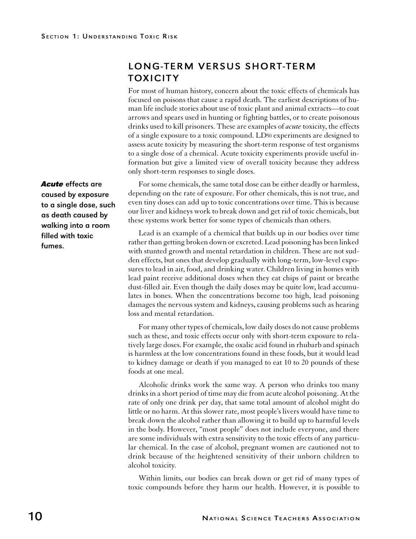# LONG-TERM VERSUS SHORT-TERM TOXICITY

For most of human history, concern about the toxic effects of chemicals has focused on poisons that cause a rapid death. The earliest descriptions of human life include stories about use of toxic plant and animal extracts—to coat arrows and spears used in hunting or fighting battles, or to create poisonous drinks used to kill prisoners. These are examples of *acute* toxicity, the effects of a single exposure to a toxic compound. LD50 experiments are designed to assess acute toxicity by measuring the short-term response of test organisms to a single dose of a chemical. Acute toxicity experiments provide useful information but give a limited view of overall toxicity because they address only short-term responses to single doses.

For some chemicals, the same total dose can be either deadly or harmless, depending on the rate of exposure. For other chemicals, this is not true, and even tiny doses can add up to toxic concentrations over time. This is because our liver and kidneys work to break down and get rid of toxic chemicals, but these systems work better for some types of chemicals than others.

Lead is an example of a chemical that builds up in our bodies over time rather than getting broken down or excreted. Lead poisoning has been linked with stunted growth and mental retardation in children. These are not sudden effects, but ones that develop gradually with long-term, low-level exposures to lead in air, food, and drinking water. Children living in homes with lead paint receive additional doses when they eat chips of paint or breathe dust-filled air. Even though the daily doses may be quite low, lead accumulates in bones. When the concentrations become too high, lead poisoning damages the nervous system and kidneys, causing problems such as hearing loss and mental retardation.

For many other types of chemicals, low daily doses do not cause problems such as these, and toxic effects occur only with short-term exposure to relatively large doses. For example, the oxalic acid found in rhubarb and spinach is harmless at the low concentrations found in these foods, but it would lead to kidney damage or death if you managed to eat 10 to 20 pounds of these foods at one meal.

Alcoholic drinks work the same way. A person who drinks too many drinks in a short period of time may die from acute alcohol poisoning. At the rate of only one drink per day, that same total amount of alcohol might do little or no harm. At this slower rate, most people's livers would have time to break down the alcohol rather than allowing it to build up to harmful levels in the body. However, "most people" does not include everyone, and there are some individuals with extra sensitivity to the toxic effects of any particular chemical. In the case of alcohol, pregnant women are cautioned not to drink because of the heightened sensitivity of their unborn children to alcohol toxicity.

Within limits, our bodies can break down or get rid of many types of toxic compounds before they harm our health. However, it is possible to

**Acute** effects are caused by exposure to a single dose, such as death caused by walking into a room filled with toxic fumes.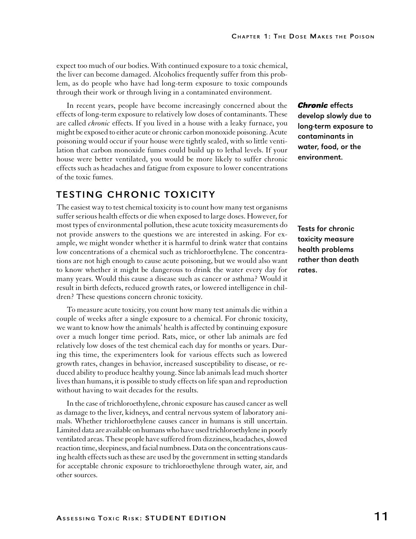expect too much of our bodies. With continued exposure to a toxic chemical, the liver can become damaged. Alcoholics frequently suffer from this problem, as do people who have had long-term exposure to toxic compounds through their work or through living in a contaminated environment.

In recent years, people have become increasingly concerned about the effects of long-term exposure to relatively low doses of contaminants. These are called *chronic* effects. If you lived in a house with a leaky furnace, you might be exposed to either acute or chronic carbon monoxide poisoning. Acute poisoning would occur if your house were tightly sealed, with so little ventilation that carbon monoxide fumes could build up to lethal levels. If your house were better ventilated, you would be more likely to suffer chronic effects such as headaches and fatigue from exposure to lower concentrations of the toxic fumes.

## TESTING CHRONIC TOXICITY

The easiest way to test chemical toxicity is to count how many test organisms suffer serious health effects or die when exposed to large doses. However, for most types of environmental pollution, these acute toxicity measurements do not provide answers to the questions we are interested in asking. For example, we might wonder whether it is harmful to drink water that contains low concentrations of a chemical such as trichloroethylene. The concentrations are not high enough to cause acute poisoning, but we would also want to know whether it might be dangerous to drink the water every day for many years. Would this cause a disease such as cancer or asthma? Would it result in birth defects, reduced growth rates, or lowered intelligence in children? These questions concern chronic toxicity.

To measure acute toxicity, you count how many test animals die within a couple of weeks after a single exposure to a chemical. For chronic toxicity, we want to know how the animals' health is affected by continuing exposure over a much longer time period. Rats, mice, or other lab animals are fed relatively low doses of the test chemical each day for months or years. During this time, the experimenters look for various effects such as lowered growth rates, changes in behavior, increased susceptibility to disease, or reduced ability to produce healthy young. Since lab animals lead much shorter lives than humans, it is possible to study effects on life span and reproduction without having to wait decades for the results.

In the case of trichloroethylene, chronic exposure has caused cancer as well as damage to the liver, kidneys, and central nervous system of laboratory animals. Whether trichloroethylene causes cancer in humans is still uncertain. Limited data are available on humans who have used trichloroethylene in poorly ventilated areas. These people have suffered from dizziness, headaches, slowed reaction time, sleepiness, and facial numbness. Data on the concentrations causing health effects such as these are used by the government in setting standards for acceptable chronic exposure to trichloroethylene through water, air, and other sources.

**Chronic** effects develop slowly due to long-term exposure to contaminants in water, food, or the environment.

Tests for chronic toxicity measure health problems rather than death rates.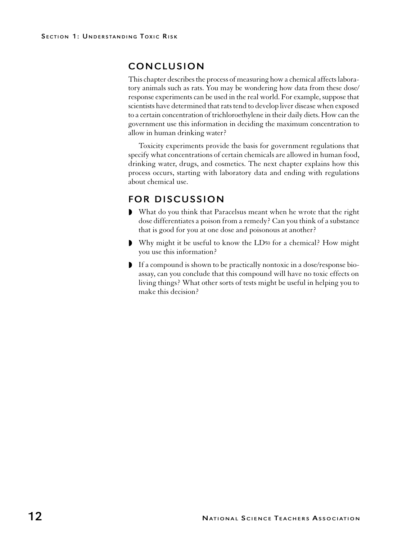# CONCLUSION

This chapter describes the process of measuring how a chemical affects laboratory animals such as rats. You may be wondering how data from these dose/ response experiments can be used in the real world. For example, suppose that scientists have determined that rats tend to develop liver disease when exposed to a certain concentration of trichloroethylene in their daily diets. How can the government use this information in deciding the maximum concentration to allow in human drinking water?

Toxicity experiments provide the basis for government regulations that specify what concentrations of certain chemicals are allowed in human food, drinking water, drugs, and cosmetics. The next chapter explains how this process occurs, starting with laboratory data and ending with regulations about chemical use.

# FOR DISCUSSION

- ◗ What do you think that Paracelsus meant when he wrote that the right dose differentiates a poison from a remedy? Can you think of a substance that is good for you at one dose and poisonous at another?
- ◗ Why might it be useful to know the LD50 for a chemical? How might you use this information?
- ◗ If a compound is shown to be practically nontoxic in a dose/response bioassay, can you conclude that this compound will have no toxic effects on living things? What other sorts of tests might be useful in helping you to make this decision?